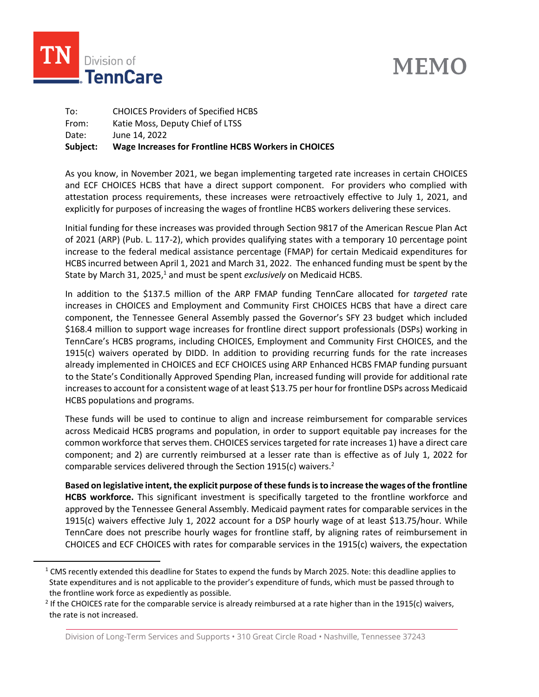

# **MEMO**

To: CHOICES Providers of Specified HCBS From: Katie Moss, Deputy Chief of LTSS Date: June 14, 2022 **Subject: Wage Increases for Frontline HCBS Workers in CHOICES**

As you know, in November 2021, we began implementing targeted rate increases in certain CHOICES and ECF CHOICES HCBS that have a direct support component. For providers who complied with attestation process requirements, these increases were retroactively effective to July 1, 2021, and explicitly for purposes of increasing the wages of frontline HCBS workers delivering these services.

Initial funding for these increases was provided through Section 9817 of the American Rescue Plan Act of 2021 (ARP) (Pub. L. 117-2), which provides qualifying states with a temporary 10 percentage point increase to the federal medical assistance percentage (FMAP) for certain Medicaid expenditures for HCBS incurred between April 1, 2021 and March 31, 2022. The enhanced funding must be spent by the State by March 31, 2025,<sup>1</sup> and must be spent *exclusively* on Medicaid HCBS.

In addition to the \$137.5 million of the ARP FMAP funding TennCare allocated for *targeted* rate increases in CHOICES and Employment and Community First CHOICES HCBS that have a direct care component, the Tennessee General Assembly passed the Governor's SFY 23 budget which included \$168.4 million to support wage increases for frontline direct support professionals (DSPs) working in TennCare's HCBS programs, including CHOICES, Employment and Community First CHOICES, and the 1915(c) waivers operated by DIDD. In addition to providing recurring funds for the rate increases already implemented in CHOICES and ECF CHOICES using ARP Enhanced HCBS FMAP funding pursuant to the State's Conditionally Approved Spending Plan, increased funding will provide for additional rate increases to account for a consistent wage of at least \$13.75 per hour for frontline DSPs across Medicaid HCBS populations and programs.

These funds will be used to continue to align and increase reimbursement for comparable services across Medicaid HCBS programs and population, in order to support equitable pay increases for the common workforce that serves them. CHOICES services targeted for rate increases 1) have a direct care component; and 2) are currently reimbursed at a lesser rate than is effective as of July 1, 2022 for comparable services delivered through the Section 1915(c) waivers.<sup>2</sup>

**Based on legislative intent, the explicit purpose of these funds is to increase the wages of the frontline HCBS workforce.** This significant investment is specifically targeted to the frontline workforce and approved by the Tennessee General Assembly. Medicaid payment rates for comparable services in the 1915(c) waivers effective July 1, 2022 account for a DSP hourly wage of at least \$13.75/hour. While TennCare does not prescribe hourly wages for frontline staff, by aligning rates of reimbursement in CHOICES and ECF CHOICES with rates for comparable services in the 1915(c) waivers, the expectation

 $1 \text{ CMS}$  recently extended this deadline for States to expend the funds by March 2025. Note: this deadline applies to State expenditures and is not applicable to the provider's expenditure of funds, which must be passed through to the frontline work force as expediently as possible.

<sup>&</sup>lt;sup>2</sup> If the CHOICES rate for the comparable service is already reimbursed at a rate higher than in the 1915(c) waivers, the rate is not increased.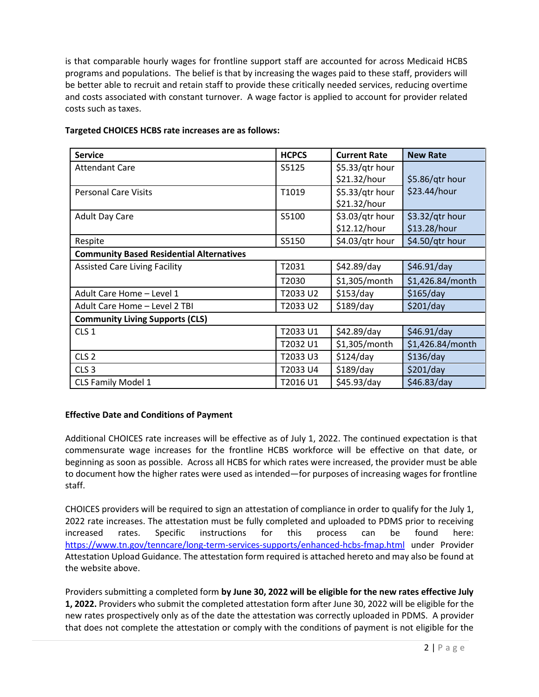is that comparable hourly wages for frontline support staff are accounted for across Medicaid HCBS programs and populations. The belief is that by increasing the wages paid to these staff, providers will be better able to recruit and retain staff to provide these critically needed services, reducing overtime and costs associated with constant turnover. A wage factor is applied to account for provider related costs such as taxes.

| <b>Service</b>                                  | <b>HCPCS</b> | <b>Current Rate</b> | <b>New Rate</b>  |
|-------------------------------------------------|--------------|---------------------|------------------|
| <b>Attendant Care</b>                           | S5125        | \$5.33/qtr hour     |                  |
|                                                 |              | \$21.32/hour        | \$5.86/qtr hour  |
| <b>Personal Care Visits</b>                     | T1019        | \$5.33/qtr hour     | \$23.44/hour     |
|                                                 |              | \$21.32/hour        |                  |
| <b>Adult Day Care</b>                           | S5100        | \$3.03/qtr hour     | $$3.32/ptr$ hour |
|                                                 |              | \$12.12/hour        | \$13.28/hour     |
| Respite                                         | S5150        | \$4.03/qtr hour     | \$4.50/qtr hour  |
| <b>Community Based Residential Alternatives</b> |              |                     |                  |
| <b>Assisted Care Living Facility</b>            | T2031        | \$42.89/day         | \$46.91/day      |
|                                                 | T2030        | \$1,305/month       | \$1,426.84/month |
| Adult Care Home - Level 1                       | T2033 U2     | \$153/day           | \$165/day        |
| Adult Care Home - Level 2 TBI                   | T2033 U2     | $$189$ /day         | \$201/day        |
| <b>Community Living Supports (CLS)</b>          |              |                     |                  |
| CLS <sub>1</sub>                                | T2033 U1     | $$42.89$ /day       | \$46.91/day      |
|                                                 | T2032 U1     | \$1,305/month       | \$1,426.84/month |
| CLS <sub>2</sub>                                | T2033 U3     | \$124/day           | \$136/day        |
| CLS <sub>3</sub>                                | T2033 U4     | $$189$ /day         | \$201/day        |
| CLS Family Model 1                              | T2016 U1     | \$45.93/day         | \$46.83/day      |

#### **Targeted CHOICES HCBS rate increases are as follows:**

### **Effective Date and Conditions of Payment**

Additional CHOICES rate increases will be effective as of July 1, 2022. The continued expectation is that commensurate wage increases for the frontline HCBS workforce will be effective on that date, or beginning as soon as possible. Across all HCBS for which rates were increased, the provider must be able to document how the higher rates were used as intended—for purposes of increasing wages for frontline staff.

CHOICES providers will be required to sign an attestation of compliance in order to qualify for the July 1, 2022 rate increases. The attestation must be fully completed and uploaded to PDMS prior to receiving increased rates. Specific instructions for this process can be found here: <https://www.tn.gov/tenncare/long-term-services-supports/enhanced-hcbs-fmap.html> under Provider Attestation Upload Guidance. The attestation form required is attached hereto and may also be found at the website above.

Providers submitting a completed form **by June 30, 2022 will be eligible for the new rates effective July 1, 2022.** Providers who submit the completed attestation form after June 30, 2022 will be eligible for the new rates prospectively only as of the date the attestation was correctly uploaded in PDMS. A provider that does not complete the attestation or comply with the conditions of payment is not eligible for the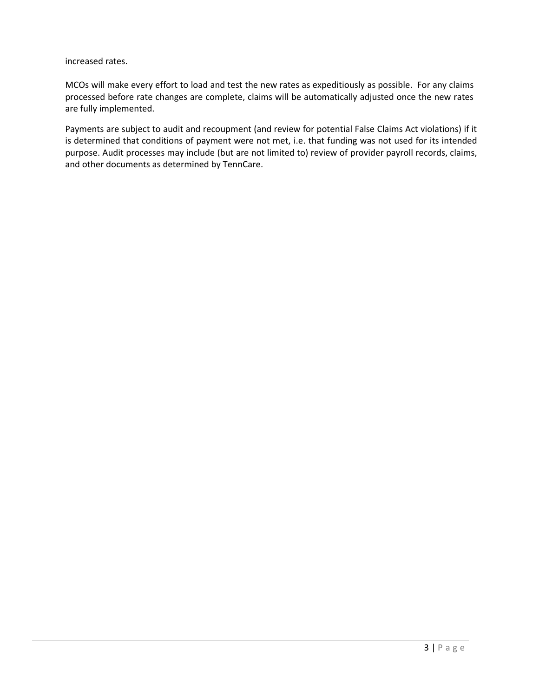increased rates.

MCOs will make every effort to load and test the new rates as expeditiously as possible. For any claims processed before rate changes are complete, claims will be automatically adjusted once the new rates are fully implemented.

Payments are subject to audit and recoupment (and review for potential False Claims Act violations) if it is determined that conditions of payment were not met, i.e. that funding was not used for its intended purpose. Audit processes may include (but are not limited to) review of provider payroll records, claims, and other documents as determined by TennCare.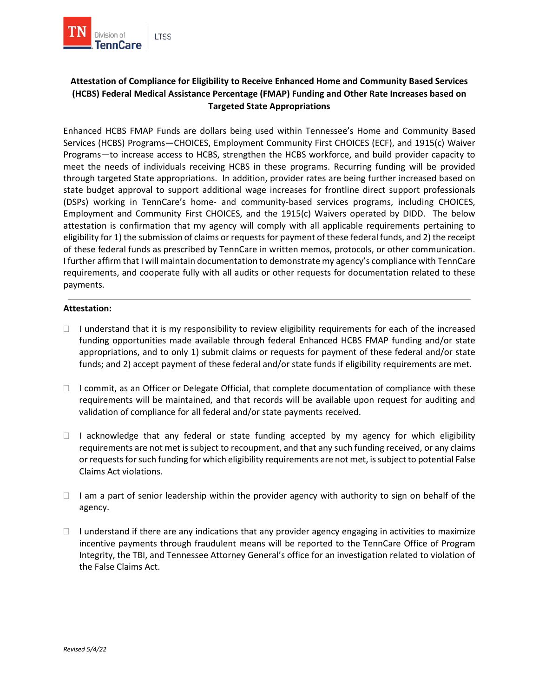

## **Attestation of Compliance for Eligibility to Receive Enhanced Home and Community Based Services (HCBS) Federal Medical Assistance Percentage (FMAP) Funding and Other Rate Increases based on Targeted State Appropriations**

Enhanced HCBS FMAP Funds are dollars being used within Tennessee's Home and Community Based Services (HCBS) Programs—CHOICES, Employment Community First CHOICES (ECF), and 1915(c) Waiver Programs—to increase access to HCBS, strengthen the HCBS workforce, and build provider capacity to meet the needs of individuals receiving HCBS in these programs. Recurring funding will be provided through targeted State appropriations. In addition, provider rates are being further increased based on state budget approval to support additional wage increases for frontline direct support professionals (DSPs) working in TennCare's home- and community-based services programs, including CHOICES, Employment and Community First CHOICES, and the 1915(c) Waivers operated by DIDD. The below attestation is confirmation that my agency will comply with all applicable requirements pertaining to eligibility for 1) the submission of claims or requests for payment of these federal funds, and 2) the receipt of these federal funds as prescribed by TennCare in written memos, protocols, or other communication. I further affirm that I will maintain documentation to demonstrate my agency's compliance with TennCare requirements, and cooperate fully with all audits or other requests for documentation related to these payments.

#### **Attestation:**

- $\Box$  I understand that it is my responsibility to review eligibility requirements for each of the increased funding opportunities made available through federal Enhanced HCBS FMAP funding and/or state appropriations, and to only 1) submit claims or requests for payment of these federal and/or state funds; and 2) accept payment of these federal and/or state funds if eligibility requirements are met.
- $\Box$  I commit, as an Officer or Delegate Official, that complete documentation of compliance with these requirements will be maintained, and that records will be available upon request for auditing and validation of compliance for all federal and/or state payments received.
- $\Box$  I acknowledge that any federal or state funding accepted by my agency for which eligibility requirements are not met is subject to recoupment, and that any such funding received, or any claims or requests for such funding for which eligibility requirements are not met, is subject to potential False Claims Act violations.
- $\Box$  I am a part of senior leadership within the provider agency with authority to sign on behalf of the agency.
- $\Box$  I understand if there are any indications that any provider agency engaging in activities to maximize incentive payments through fraudulent means will be reported to the TennCare Office of Program Integrity, the TBI, and Tennessee Attorney General's office for an investigation related to violation of the False Claims Act.